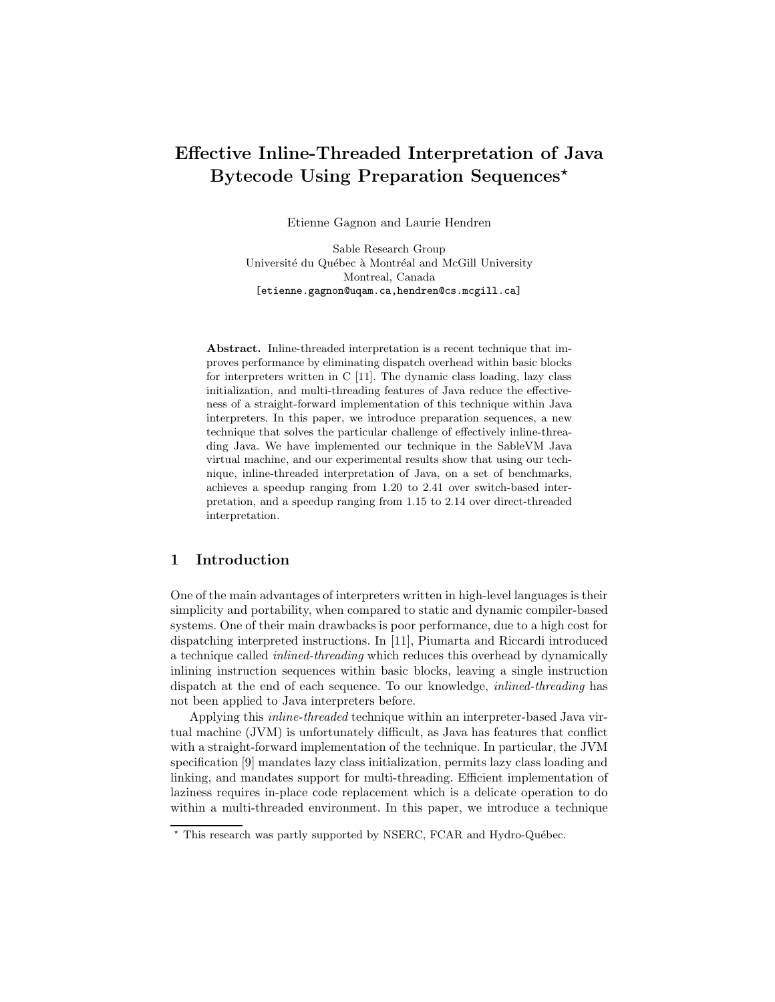# Effective Inline-Threaded Interpretation of Java Bytecode Using Preparation Sequences<sup>\*</sup>

Etienne Gagnon and Laurie Hendren

Sable Research Group Université du Québec à Montréal and McGill University Montreal, Canada [etienne.gagnon@uqam.ca,hendren@cs.mcgill.ca]

Abstract. Inline-threaded interpretation is a recent technique that improves performance by eliminating dispatch overhead within basic blocks for interpreters written in C [11]. The dynamic class loading, lazy class initialization, and multi-threading features of Java reduce the effectiveness of a straight-forward implementation of this technique within Java interpreters. In this paper, we introduce preparation sequences, a new technique that solves the particular challenge of effectively inline-threading Java. We have implemented our technique in the SableVM Java virtual machine, and our experimental results show that using our technique, inline-threaded interpretation of Java, on a set of benchmarks, achieves a speedup ranging from 1.20 to 2.41 over switch-based interpretation, and a speedup ranging from 1.15 to 2.14 over direct-threaded interpretation.

# 1 Introduction

One of the main advantages of interpreters written in high-level languages is their simplicity and portability, when compared to static and dynamic compiler-based systems. One of their main drawbacks is poor performance, due to a high cost for dispatching interpreted instructions. In [11], Piumarta and Riccardi introduced a technique called inlined-threading which reduces this overhead by dynamically inlining instruction sequences within basic blocks, leaving a single instruction dispatch at the end of each sequence. To our knowledge, inlined-threading has not been applied to Java interpreters before.

Applying this inline-threaded technique within an interpreter-based Java virtual machine (JVM) is unfortunately difficult, as Java has features that conflict with a straight-forward implementation of the technique. In particular, the JVM specification [9] mandates lazy class initialization, permits lazy class loading and linking, and mandates support for multi-threading. Efficient implementation of laziness requires in-place code replacement which is a delicate operation to do within a multi-threaded environment. In this paper, we introduce a technique

 $*$  This research was partly supported by NSERC, FCAR and Hydro-Québec.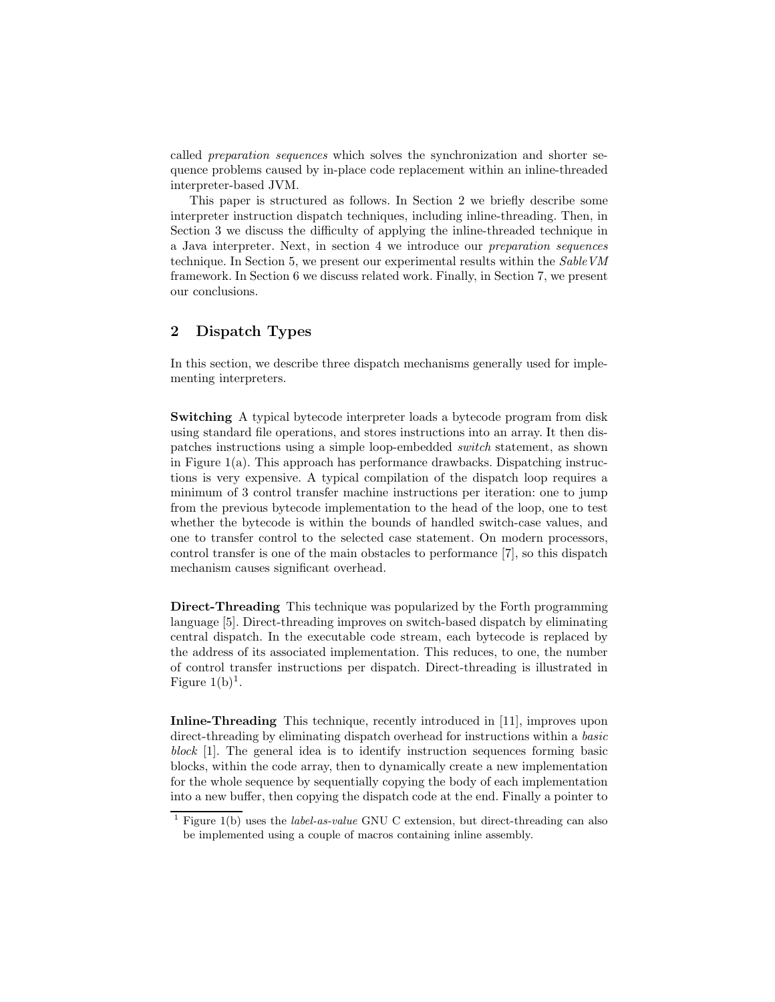called preparation sequences which solves the synchronization and shorter sequence problems caused by in-place code replacement within an inline-threaded interpreter-based JVM.

This paper is structured as follows. In Section 2 we briefly describe some interpreter instruction dispatch techniques, including inline-threading. Then, in Section 3 we discuss the difficulty of applying the inline-threaded technique in a Java interpreter. Next, in section 4 we introduce our preparation sequences technique. In Section 5, we present our experimental results within the SableVM framework. In Section 6 we discuss related work. Finally, in Section 7, we present our conclusions.

## 2 Dispatch Types

In this section, we describe three dispatch mechanisms generally used for implementing interpreters.

Switching A typical bytecode interpreter loads a bytecode program from disk using standard file operations, and stores instructions into an array. It then dispatches instructions using a simple loop-embedded switch statement, as shown in Figure  $1(a)$ . This approach has performance drawbacks. Dispatching instructions is very expensive. A typical compilation of the dispatch loop requires a minimum of 3 control transfer machine instructions per iteration: one to jump from the previous bytecode implementation to the head of the loop, one to test whether the bytecode is within the bounds of handled switch-case values, and one to transfer control to the selected case statement. On modern processors, control transfer is one of the main obstacles to performance [7], so this dispatch mechanism causes significant overhead.

Direct-Threading This technique was popularized by the Forth programming language [5]. Direct-threading improves on switch-based dispatch by eliminating central dispatch. In the executable code stream, each bytecode is replaced by the address of its associated implementation. This reduces, to one, the number of control transfer instructions per dispatch. Direct-threading is illustrated in Figure  $1(b)^1$ .

Inline-Threading This technique, recently introduced in [11], improves upon direct-threading by eliminating dispatch overhead for instructions within a *basic* block [1]. The general idea is to identify instruction sequences forming basic blocks, within the code array, then to dynamically create a new implementation for the whole sequence by sequentially copying the body of each implementation into a new buffer, then copying the dispatch code at the end. Finally a pointer to

<sup>&</sup>lt;sup>1</sup> Figure 1(b) uses the *label-as-value* GNU C extension, but direct-threading can also be implemented using a couple of macros containing inline assembly.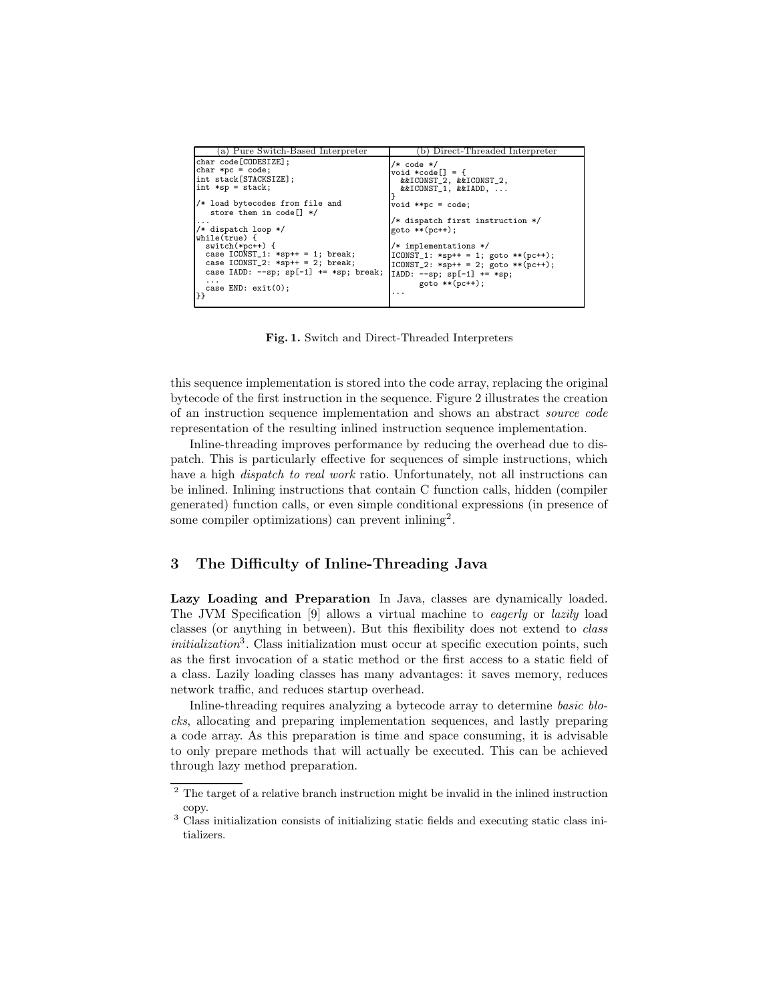| a) Pure Switch-Based Interpreter            | (b) Direct-Threaded Interpreter        |
|---------------------------------------------|----------------------------------------|
| char code[CODESIZE];                        | $/*$ code $*/$                         |
| $char *pc = code;$                          | void *code[] = {                       |
| int stack[STACKSIZE];                       | &&ICONST_2, &&ICONST_2,                |
| $int *sp = stack$                           | &&ICONST_1, &&IADD,                    |
|                                             |                                        |
| /* load bytecodes from file and             | $void **pc = code;$                    |
| store them in code $\left[\right]$ */       |                                        |
| .                                           | /* dispatch first instruction */       |
| $\frac{1}{*}$ dispatch loop */              | $goto **(pc++)$ ;                      |
| while(true) {                               |                                        |
| $switch(*pc++)$ {                           | $/*$ implementations $*/$              |
| case $ICONST_1: **sp++ = 1; break;$         | $ICONST_1: *sp++ = 1; goto ** (pc++);$ |
| case $ICONST_2: *sp++ = 2; break;$          | $ICONST_2: *sp++ = 2; goto ** (pc++);$ |
| case IADD: $--$ sp; sp[-1] $+=$ *sp; break; | $IADD: --sp; sp[-1] += *sp;$           |
| .                                           | $goto **(pc++)$ ;                      |
| case $END: exit(0);$                        |                                        |
| 33                                          | .                                      |
|                                             |                                        |

Fig. 1. Switch and Direct-Threaded Interpreters

this sequence implementation is stored into the code array, replacing the original bytecode of the first instruction in the sequence. Figure 2 illustrates the creation of an instruction sequence implementation and shows an abstract source code representation of the resulting inlined instruction sequence implementation.

Inline-threading improves performance by reducing the overhead due to dispatch. This is particularly effective for sequences of simple instructions, which have a high *dispatch to real work* ratio. Unfortunately, not all instructions can be inlined. Inlining instructions that contain C function calls, hidden (compiler generated) function calls, or even simple conditional expressions (in presence of some compiler optimizations) can prevent inlining<sup>2</sup>.

## 3 The Difficulty of Inline-Threading Java

Lazy Loading and Preparation In Java, classes are dynamically loaded. The JVM Specification [9] allows a virtual machine to eagerly or lazily load classes (or anything in between). But this flexibility does not extend to class  $initialization<sup>3</sup>$ . Class initialization must occur at specific execution points, such as the first invocation of a static method or the first access to a static field of a class. Lazily loading classes has many advantages: it saves memory, reduces network traffic, and reduces startup overhead.

Inline-threading requires analyzing a bytecode array to determine basic blocks, allocating and preparing implementation sequences, and lastly preparing a code array. As this preparation is time and space consuming, it is advisable to only prepare methods that will actually be executed. This can be achieved through lazy method preparation.

<sup>&</sup>lt;sup>2</sup> The target of a relative branch instruction might be invalid in the inlined instruction copy.

<sup>&</sup>lt;sup>3</sup> Class initialization consists of initializing static fields and executing static class initializers.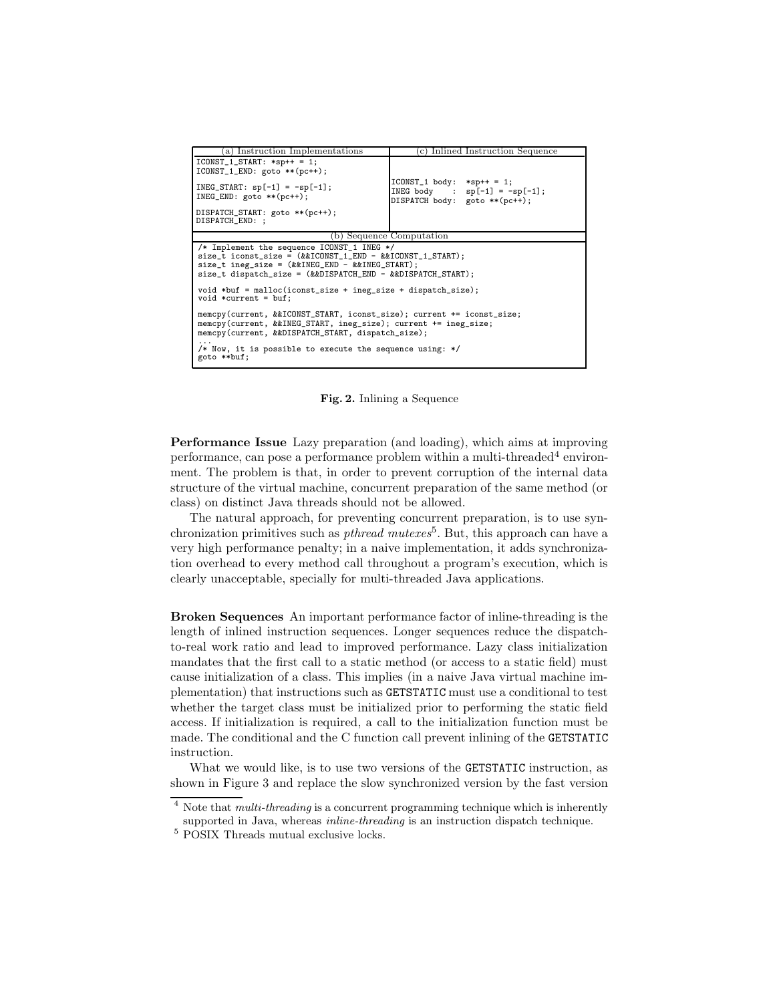| a) Instruction Implementations                                                                                                                                                                                                                | c) Inlined Instruction Sequence                                                                   |  |  |
|-----------------------------------------------------------------------------------------------------------------------------------------------------------------------------------------------------------------------------------------------|---------------------------------------------------------------------------------------------------|--|--|
| $ICONST_1_START:$ *sp++ = 1;<br>$ICONST_1_END: goto **(pc++);$                                                                                                                                                                                |                                                                                                   |  |  |
| $INEG_START: sp[-1] = -sp[-1];$<br>$INEG_END: goto **(pc++)$ ;                                                                                                                                                                                | $ICONST_1$ body: *sp++ = 1;<br>INEG body : $sp[-1] = -sp[-1]$ ;<br>DISPATCH body: goto ** (pc++); |  |  |
| DISPATCH_START: goto ** (pc++);<br>DISPATCH_END: ;                                                                                                                                                                                            |                                                                                                   |  |  |
|                                                                                                                                                                                                                                               | (b) Sequence Computation                                                                          |  |  |
| /* Implement the sequence ICONST_1 INEG $*/$<br>$size_t$ iconst_size = $(k&ICONST_1_END - k&ICONST_1_START);$<br>$size_t$ ineg_size = $(kkINEG_END - kkINEG_START);$<br>$size_t$ dispatch_size = $(kkDISPATH$ CH_END - $kkDISPATH$ CH_START); |                                                                                                   |  |  |
| void *buf = $malloc(iconst_size + ineg_size + dispatch_size);$<br>$void *current = buf;$                                                                                                                                                      |                                                                                                   |  |  |
| memcpy(current, &&ICONST_START, iconst_size); current += iconst_size;<br>memcpy(current, &&INEG_START, ineg_size); current += ineg_size;<br>memcpy(current, &&DISPATCH_START, dispatch_size);                                                 |                                                                                                   |  |  |
| /* Now, it is possible to execute the sequence using: $*/$<br>goto **buf;                                                                                                                                                                     |                                                                                                   |  |  |

Fig. 2. Inlining a Sequence

Performance Issue Lazy preparation (and loading), which aims at improving  $performance$ , can pose a performance problem within a multi-threaded<sup>4</sup> environment. The problem is that, in order to prevent corruption of the internal data structure of the virtual machine, concurrent preparation of the same method (or class) on distinct Java threads should not be allowed.

The natural approach, for preventing concurrent preparation, is to use synchronization primitives such as *pthread mutexes*<sup>5</sup>. But, this approach can have a very high performance penalty; in a naive implementation, it adds synchronization overhead to every method call throughout a program's execution, which is clearly unacceptable, specially for multi-threaded Java applications.

Broken Sequences An important performance factor of inline-threading is the length of inlined instruction sequences. Longer sequences reduce the dispatchto-real work ratio and lead to improved performance. Lazy class initialization mandates that the first call to a static method (or access to a static field) must cause initialization of a class. This implies (in a naive Java virtual machine implementation) that instructions such as GETSTATIC must use a conditional to test whether the target class must be initialized prior to performing the static field access. If initialization is required, a call to the initialization function must be made. The conditional and the C function call prevent inlining of the GETSTATIC instruction.

What we would like, is to use two versions of the GETSTATIC instruction, as shown in Figure 3 and replace the slow synchronized version by the fast version

 $4$  Note that *multi-threading* is a concurrent programming technique which is inherently supported in Java, whereas *inline-threading* is an instruction dispatch technique.

<sup>5</sup> POSIX Threads mutual exclusive locks.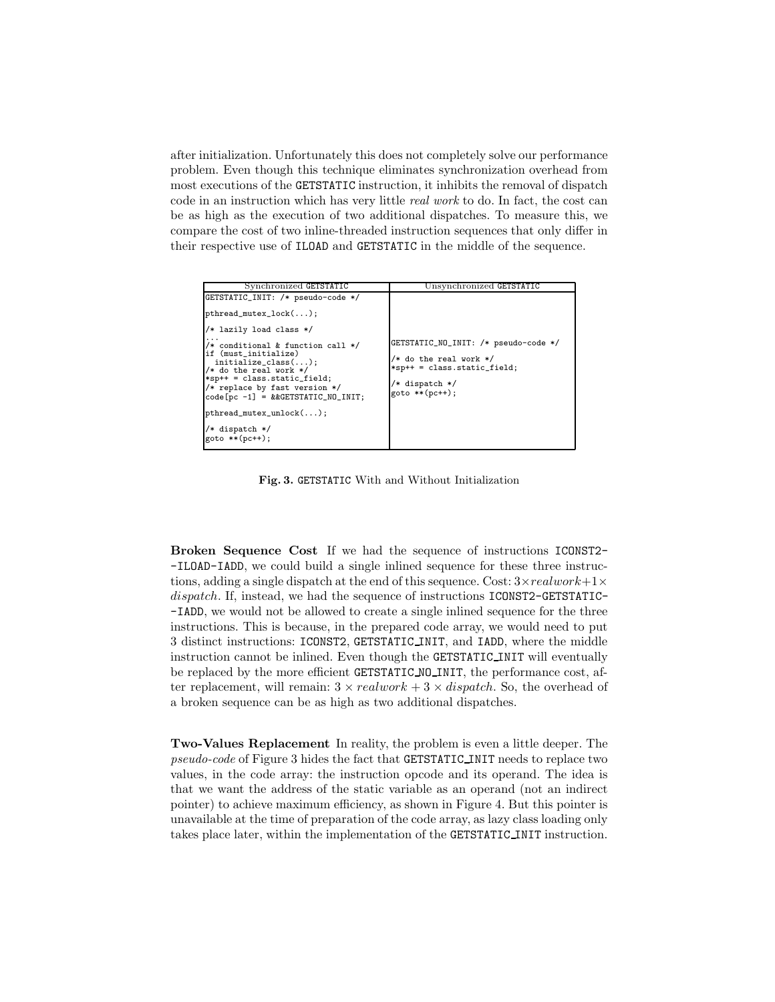after initialization. Unfortunately this does not completely solve our performance problem. Even though this technique eliminates synchronization overhead from most executions of the GETSTATIC instruction, it inhibits the removal of dispatch code in an instruction which has very little real work to do. In fact, the cost can be as high as the execution of two additional dispatches. To measure this, we compare the cost of two inline-threaded instruction sequences that only differ in their respective use of ILOAD and GETSTATIC in the middle of the sequence.

| Synchronized GETSTATIC                                            | Unsynchronized GETSTATIC                                     |
|-------------------------------------------------------------------|--------------------------------------------------------------|
| GETSTATIC_INIT: /* pseudo-code */                                 |                                                              |
| $pthread_mutex\_lock();$                                          |                                                              |
| $\frac{1}{*}$ lazily load class */                                |                                                              |
| /* conditional & function call */<br>lif (must initialize)        | GETSTATIC_NO_INIT: /* pseudo-code */                         |
| $\mid$ initialize_class();<br>$/*$ do the real work $*/$          | $/*$ do the real work $*/$<br>$*$ sp++ = class.static_field; |
| $*$ sp++ = class.static_field;<br>/* replace by fast version $*/$ | /* dispatch */                                               |
| $code[pc -1] = & & GETSTATIC_N0_INIT;$                            | goto **(pc++):                                               |
| $pthread_mutes\_unlock();$                                        |                                                              |
| $/*$ dispatch $*/$                                                |                                                              |
| $goto ** (pc++);$                                                 |                                                              |

Fig. 3. GETSTATIC With and Without Initialization

Broken Sequence Cost If we had the sequence of instructions ICONST2- -ILOAD-IADD, we could build a single inlined sequence for these three instructions, adding a single dispatch at the end of this sequence. Cost:  $3 \times realwork + 1 \times$ dispatch. If, instead, we had the sequence of instructions ICONST2-GETSTATIC--IADD, we would not be allowed to create a single inlined sequence for the three instructions. This is because, in the prepared code array, we would need to put 3 distinct instructions: ICONST2, GETSTATIC INIT, and IADD, where the middle instruction cannot be inlined. Even though the GETSTATIC INIT will eventually be replaced by the more efficient GETSTATIC NO INIT, the performance cost, after replacement, will remain:  $3 \times realwork + 3 \times dispatch$ . So, the overhead of a broken sequence can be as high as two additional dispatches.

Two-Values Replacement In reality, the problem is even a little deeper. The pseudo-code of Figure 3 hides the fact that GETSTATIC INIT needs to replace two values, in the code array: the instruction opcode and its operand. The idea is that we want the address of the static variable as an operand (not an indirect pointer) to achieve maximum efficiency, as shown in Figure 4. But this pointer is unavailable at the time of preparation of the code array, as lazy class loading only takes place later, within the implementation of the GETSTATIC INIT instruction.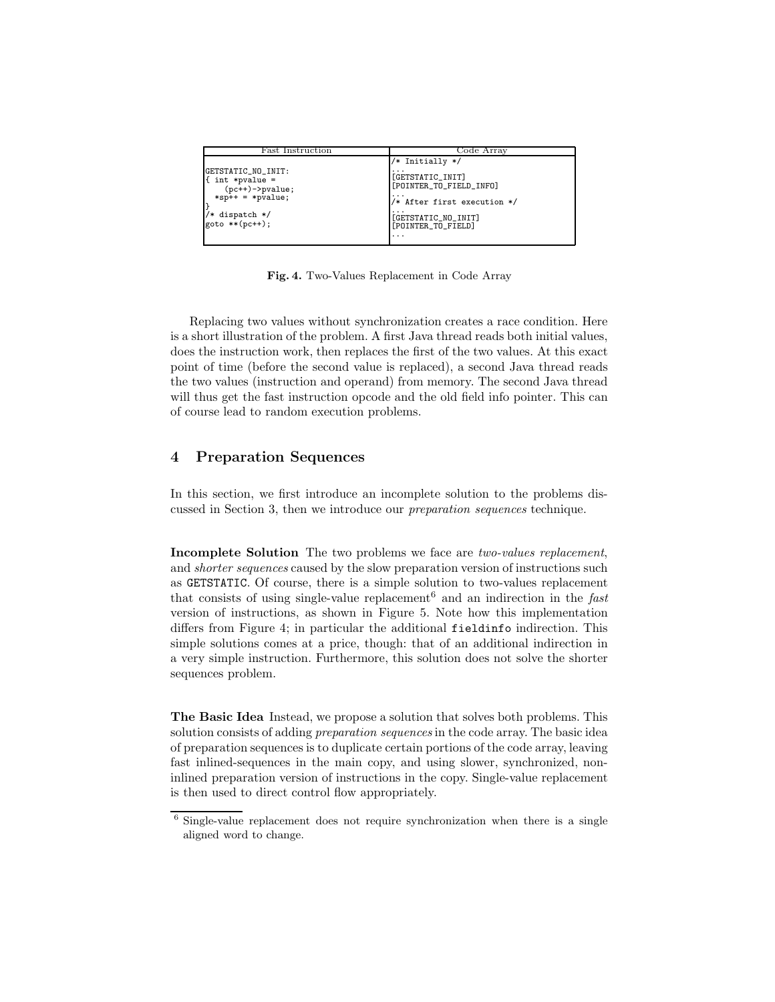| Fast Instruction                                                                                                                  | Code Array                                                                                                                                                              |
|-----------------------------------------------------------------------------------------------------------------------------------|-------------------------------------------------------------------------------------------------------------------------------------------------------------------------|
| GETSTATIC_NO_INIT:<br>$\int$ int *pvalue =<br>$(pc++)$ ->pvalue;<br>$*$ sp++ = $*$ pvalue;<br>/* dispatch */<br>$goto ** (pc++):$ | $/*$ Initially */<br>[GETSTATIC_INIT]<br>[POINTER_TO_FIELD_INFO]<br>/* After first execution */<br>[GETSTATIC_NO_INIT]<br>[POINTER_TO_FIELD]<br>$\cdot$ $\cdot$ $\cdot$ |

Fig. 4. Two-Values Replacement in Code Array

Replacing two values without synchronization creates a race condition. Here is a short illustration of the problem. A first Java thread reads both initial values, does the instruction work, then replaces the first of the two values. At this exact point of time (before the second value is replaced), a second Java thread reads the two values (instruction and operand) from memory. The second Java thread will thus get the fast instruction opcode and the old field info pointer. This can of course lead to random execution problems.

# 4 Preparation Sequences

In this section, we first introduce an incomplete solution to the problems discussed in Section 3, then we introduce our preparation sequences technique.

Incomplete Solution The two problems we face are two-values replacement, and *shorter sequences* caused by the slow preparation version of instructions such as GETSTATIC. Of course, there is a simple solution to two-values replacement that consists of using single-value replacement<sup>6</sup> and an indirection in the fast version of instructions, as shown in Figure 5. Note how this implementation differs from Figure 4; in particular the additional fieldinfo indirection. This simple solutions comes at a price, though: that of an additional indirection in a very simple instruction. Furthermore, this solution does not solve the shorter sequences problem.

The Basic Idea Instead, we propose a solution that solves both problems. This solution consists of adding preparation sequences in the code array. The basic idea of preparation sequences is to duplicate certain portions of the code array, leaving fast inlined-sequences in the main copy, and using slower, synchronized, noninlined preparation version of instructions in the copy. Single-value replacement is then used to direct control flow appropriately.

 $6$  Single-value replacement does not require synchronization when there is a single aligned word to change.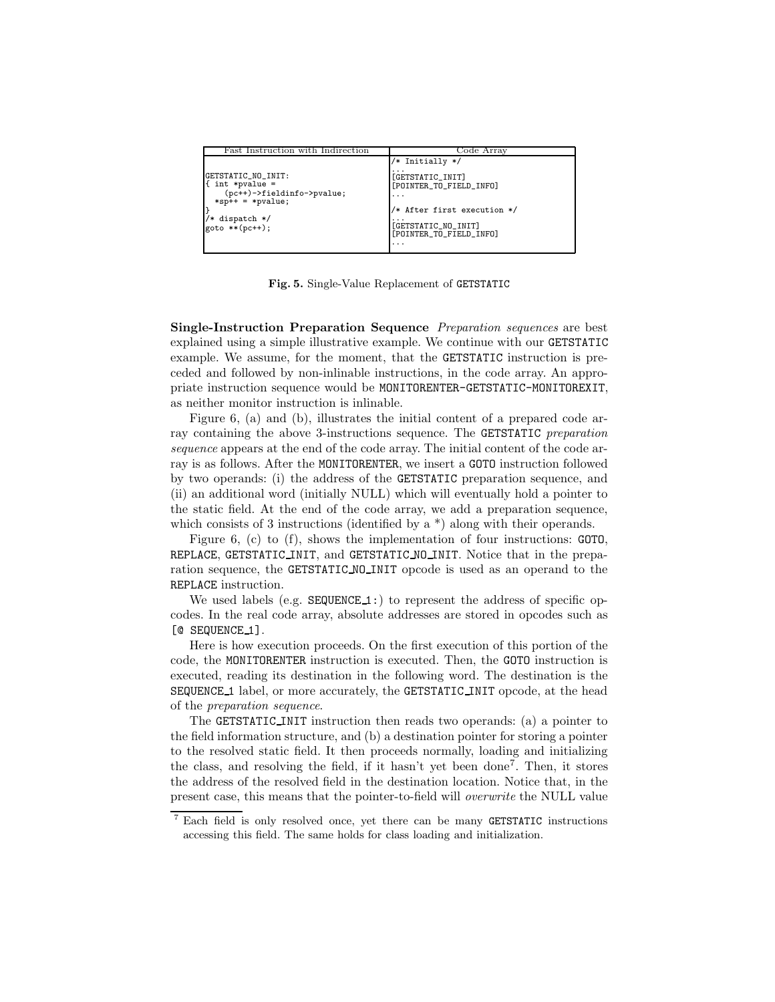| Fast Instruction with Indirection                                                                                                       | Code Array                                                                                                                                                                                                        |
|-----------------------------------------------------------------------------------------------------------------------------------------|-------------------------------------------------------------------------------------------------------------------------------------------------------------------------------------------------------------------|
| GETSTATIC_NO_INIT:<br>$\{$ int *pvalue =<br>(pc++)->fieldinfo->pvalue;<br>$*$ sp++ = $*$ pvalue;<br>/* dispatch */<br>$goto **(pc++)$ : | /* Initially */<br>$\cdots$<br>[GETSTATIC_INIT]<br>[POINTER_TO_FIELD_INFO]<br>$\cdot$ $\cdot$ $\cdot$<br>/* After first execution */<br>[GETSTATIC_NO_INIT]<br>[POINTER_TO_FIELD_INFO]<br>$\cdot$ $\cdot$ $\cdot$ |
|                                                                                                                                         |                                                                                                                                                                                                                   |

Fig. 5. Single-Value Replacement of GETSTATIC

Single-Instruction Preparation Sequence Preparation sequences are best explained using a simple illustrative example. We continue with our GETSTATIC example. We assume, for the moment, that the GETSTATIC instruction is preceded and followed by non-inlinable instructions, in the code array. An appropriate instruction sequence would be MONITORENTER-GETSTATIC-MONITOREXIT, as neither monitor instruction is inlinable.

Figure 6, (a) and (b), illustrates the initial content of a prepared code array containing the above 3-instructions sequence. The GETSTATIC preparation sequence appears at the end of the code array. The initial content of the code array is as follows. After the MONITORENTER, we insert a GOTO instruction followed by two operands: (i) the address of the GETSTATIC preparation sequence, and (ii) an additional word (initially NULL) which will eventually hold a pointer to the static field. At the end of the code array, we add a preparation sequence, which consists of 3 instructions (identified by a  $*$ ) along with their operands.

Figure 6, (c) to (f), shows the implementation of four instructions: GOTO, REPLACE, GETSTATIC INIT, and GETSTATIC NO INIT. Notice that in the preparation sequence, the GETSTATIC NO INIT opcode is used as an operand to the REPLACE instruction.

We used labels (e.g.  $SEQUENCE_1$ :) to represent the address of specific opcodes. In the real code array, absolute addresses are stored in opcodes such as [@ SEQUENCE\_1].

Here is how execution proceeds. On the first execution of this portion of the code, the MONITORENTER instruction is executed. Then, the GOTO instruction is executed, reading its destination in the following word. The destination is the SEQUENCE 1 label, or more accurately, the GETSTATIC INIT opcode, at the head of the preparation sequence.

The GETSTATIC INIT instruction then reads two operands: (a) a pointer to the field information structure, and (b) a destination pointer for storing a pointer to the resolved static field. It then proceeds normally, loading and initializing the class, and resolving the field, if it hasn't yet been done<sup>7</sup> . Then, it stores the address of the resolved field in the destination location. Notice that, in the present case, this means that the pointer-to-field will overwrite the NULL value

<sup>7</sup> Each field is only resolved once, yet there can be many GETSTATIC instructions accessing this field. The same holds for class loading and initialization.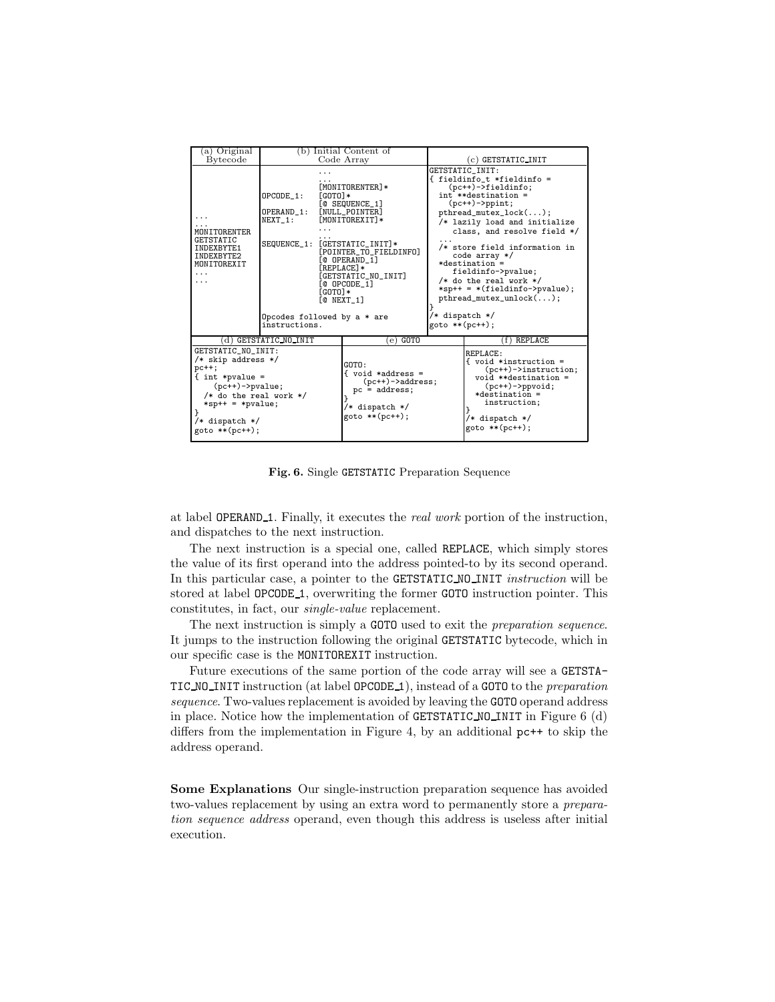| (a) Original                                                                                                                                                                                    |                                                                                                                                                                          | (b) Initial Content of                                                                                                                                                       |                                  |                                                                                                                                                                                                                                                                                                                                                                                                                          |
|-------------------------------------------------------------------------------------------------------------------------------------------------------------------------------------------------|--------------------------------------------------------------------------------------------------------------------------------------------------------------------------|------------------------------------------------------------------------------------------------------------------------------------------------------------------------------|----------------------------------|--------------------------------------------------------------------------------------------------------------------------------------------------------------------------------------------------------------------------------------------------------------------------------------------------------------------------------------------------------------------------------------------------------------------------|
| <b>Bytecode</b>                                                                                                                                                                                 | Code Array                                                                                                                                                               |                                                                                                                                                                              | (c) GETSTATIC_INIT               |                                                                                                                                                                                                                                                                                                                                                                                                                          |
| MONITORENTER<br><b>GETSTATIC</b><br>INDEXBYTE1<br>INDEXBYTE2<br>MONITOREXIT                                                                                                                     | OPCODE 1:<br>FGOTO <sub>1</sub> *<br>OPERAND_1:<br>NEXT 1:<br>SEQUENCE_1: [GETSTATIC_INIT]*<br>$[GOTO]*$<br>TO NEXT 17<br>Opcodes followed by $a * are$<br>instructions. | [MONITORENTER]*<br>[@ SEQUENCE_1]<br>[NULL_POINTER]<br>[MONITOREXIT]*<br>[POINTER_TO_FIELDINFO]<br><b>COPERAND 11</b><br>[REPLACE]*<br>[GETSTATIC_NO_INIT]<br>$[@ OPCODE_1]$ | /* dispatch */<br>goto **(pc++); | GETSTATIC INIT:<br>{ fieldinfo_t *fieldinfo =<br>$(pc++)$ ->fieldinfo;<br>int **destination =<br>$(pc++)$ ->ppint;<br>$pthread_mutes\_lock();$<br>/* lazily load and initialize<br>class, and resolve field */<br>/* store field information in<br>$code array */$<br>$*destination =$<br>fieldinfo->pvalue;<br>$/*$ do the real work $*/$<br>$*$ sp++ = $*(fieldinfo->pvalue);$<br>$\texttt{pthread\_mutex\_unlock}();$ |
|                                                                                                                                                                                                 | d) GETSTATIC NO INIT                                                                                                                                                     | $(e)$ GOTO                                                                                                                                                                   |                                  | (f) REPLACE                                                                                                                                                                                                                                                                                                                                                                                                              |
| GETSTATIC_NO_INIT:<br>$/*$ skip address */<br>$pc++$<br>$\{$ int *pvalue =<br>$(pc++)$ ->pvalue;<br>$/*$ do the real work $*/$<br>$*$ sp++ = $*$ pvalue;<br>/* dispatch */<br>$goto ** (pc++);$ |                                                                                                                                                                          | GOTO:<br>{ void *address =<br>$(pc++)$ ->address;<br>$pc = address;$<br>/* dispatch */<br>goto **(pc++);                                                                     |                                  | REPLACE:<br>f void *instruction =<br>$(pc++)$ ->instruction;<br>$void **destination =$<br>$(pc++)-\n>ppvoid;$<br>$*destination =$<br>instruction;<br>/* dispatch */<br>goto **(pc++);                                                                                                                                                                                                                                    |

Fig. 6. Single GETSTATIC Preparation Sequence

at label OPERAND<sub>1</sub>. Finally, it executes the *real work* portion of the instruction, and dispatches to the next instruction.

The next instruction is a special one, called REPLACE, which simply stores the value of its first operand into the address pointed-to by its second operand. In this particular case, a pointer to the GETSTATIC NO INIT *instruction* will be stored at label OPCODE 1, overwriting the former GOTO instruction pointer. This constitutes, in fact, our single-value replacement.

The next instruction is simply a GOTO used to exit the preparation sequence. It jumps to the instruction following the original GETSTATIC bytecode, which in our specific case is the MONITOREXIT instruction.

Future executions of the same portion of the code array will see a GETSTA-TIC NO INIT instruction (at label OPCODE 1), instead of a GOTO to the *preparation* sequence. Two-values replacement is avoided by leaving the GOTO operand address in place. Notice how the implementation of GETSTATIC NO INIT in Figure 6 (d) differs from the implementation in Figure 4, by an additional pc++ to skip the address operand.

Some Explanations Our single-instruction preparation sequence has avoided two-values replacement by using an extra word to permanently store a preparation sequence address operand, even though this address is useless after initial execution.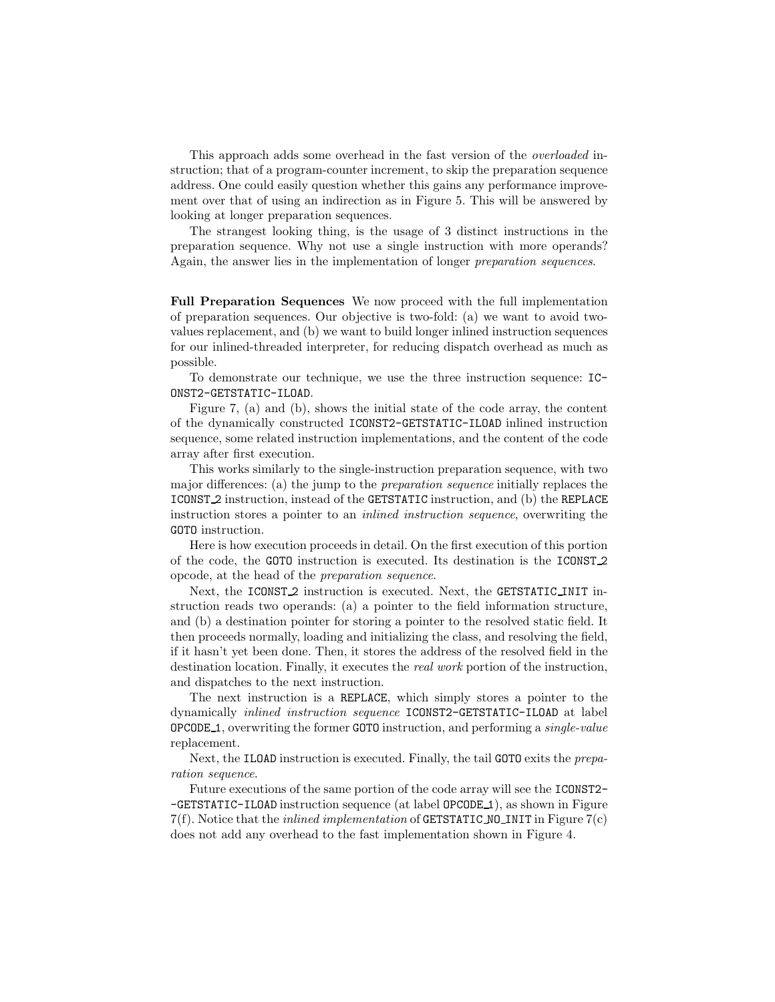This approach adds some overhead in the fast version of the overloaded instruction; that of a program-counter increment, to skip the preparation sequence address. One could easily question whether this gains any performance improvement over that of using an indirection as in Figure 5. This will be answered by looking at longer preparation sequences.

The strangest looking thing, is the usage of 3 distinct instructions in the preparation sequence. Why not use a single instruction with more operands? Again, the answer lies in the implementation of longer preparation sequences.

Full Preparation Sequences We now proceed with the full implementation of preparation sequences. Our objective is two-fold: (a) we want to avoid twovalues replacement, and (b) we want to build longer inlined instruction sequences for our inlined-threaded interpreter, for reducing dispatch overhead as much as possible.

To demonstrate our technique, we use the three instruction sequence: IC-ONST2-GETSTATIC-ILOAD.

Figure 7, (a) and (b), shows the initial state of the code array, the content of the dynamically constructed ICONST2-GETSTATIC-ILOAD inlined instruction sequence, some related instruction implementations, and the content of the code array after first execution.

This works similarly to the single-instruction preparation sequence, with two major differences: (a) the jump to the preparation sequence initially replaces the ICONST 2 instruction, instead of the GETSTATIC instruction, and (b) the REPLACE instruction stores a pointer to an inlined instruction sequence, overwriting the GOTO instruction.

Here is how execution proceeds in detail. On the first execution of this portion of the code, the GOTO instruction is executed. Its destination is the ICONST 2 opcode, at the head of the preparation sequence.

Next, the ICONST<sub>2</sub> instruction is executed. Next, the GETSTATIC INIT instruction reads two operands: (a) a pointer to the field information structure, and (b) a destination pointer for storing a pointer to the resolved static field. It then proceeds normally, loading and initializing the class, and resolving the field, if it hasn't yet been done. Then, it stores the address of the resolved field in the destination location. Finally, it executes the real work portion of the instruction, and dispatches to the next instruction.

The next instruction is a REPLACE, which simply stores a pointer to the dynamically inlined instruction sequence ICONST2-GETSTATIC-ILOAD at label OPCODE 1, overwriting the former GOTO instruction, and performing a single-value replacement.

Next, the ILOAD instruction is executed. Finally, the tail GOTO exits the preparation sequence.

Future executions of the same portion of the code array will see the ICONST2- -GETSTATIC-ILOAD instruction sequence (at label OPCODE 1), as shown in Figure  $7(f)$ . Notice that the *inlined implementation* of GETSTATIC NO INIT in Figure  $7(c)$ does not add any overhead to the fast implementation shown in Figure 4.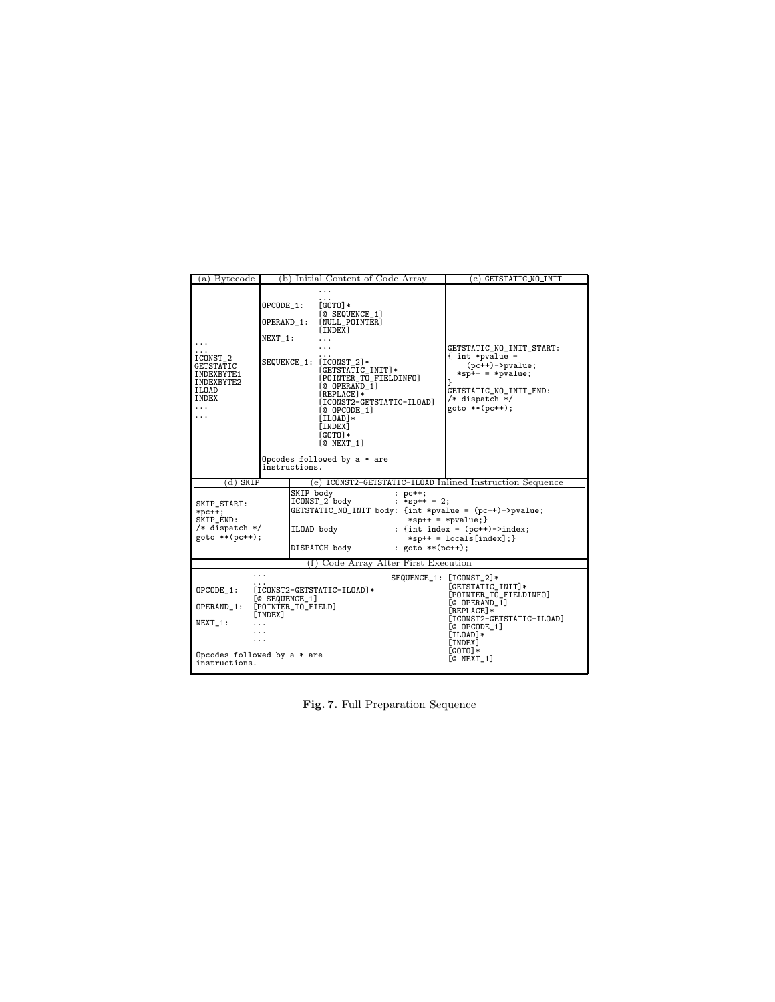| a) Bytecode                                                                                                                                                              |                                    | (b) Initial Content of Code Array                                                                                                                                                                                                                                                     | (c) GETSTATIC_NO_INIT                                                                                                                                                                                 |  |
|--------------------------------------------------------------------------------------------------------------------------------------------------------------------------|------------------------------------|---------------------------------------------------------------------------------------------------------------------------------------------------------------------------------------------------------------------------------------------------------------------------------------|-------------------------------------------------------------------------------------------------------------------------------------------------------------------------------------------------------|--|
| .<br>$\cdots$<br>ICONST_2<br><b>GETSTATIC</b><br>INDEXBYTE1<br>INDEXBYTE2<br>ILOAD<br>INDEX<br>$\cdots$<br>.                                                             | OPCODE_1:<br>OPERAND_1:<br>NEXT 1: | .<br>$[GOTO]*$<br>[@ SEQUENCE_1]<br>[NULL_POINTER]<br>[INDEX]<br>.<br>SEQUENCE_1: [ICONST_2]*<br>[GETSTATIC_INIT]*<br>[POINTER_TO_FIELDINFO]<br>[@ OPERAND_1]<br><b>FREPLACE]*</b><br>[ICONST2-GETSTATIC-ILOAD]<br>$[@ OPCODE_1]$<br>$[ILOAD]*$<br>[INDEX]<br>$[GOTO]*$<br>TO NEXT 17 | GETSTATIC_NO_INIT_START:<br>$\{$ int *pvalue =<br>$(pc++)$ ->pvalue;<br>$*$ sp++ = $*$ pvalue;<br>Υ<br>GETSTATIC_NO_INIT_END:<br>$/*$ dispatch $*/$<br>$goto **(pc++)$ ;                              |  |
|                                                                                                                                                                          | instructions.                      | Opcodes followed by a * are                                                                                                                                                                                                                                                           |                                                                                                                                                                                                       |  |
| (d) SKIP                                                                                                                                                                 |                                    | (e) ICONST2-GETSTATIC-ILOAD Inlined Instruction Sequence                                                                                                                                                                                                                              |                                                                                                                                                                                                       |  |
| SKIP body<br>ICONST_2 body<br>SKIP_START:<br>$*pc++;$<br>SKIP_END:<br>/* dispatch */<br>ILOAD body<br>$goto ** (pc++);$<br>DISPATCH body                                 |                                    | $:$ $pc++;$<br>: *sp++ = 2;                                                                                                                                                                                                                                                           | GETSTATIC_NO_INIT body: {int *pvalue = (pc++)->pvalue;<br>$*$ sp++ = $*$ pvalue; }<br>: {int index = $(pc++)$ ->index;<br>$*$ sp++ = locals[index];}<br>: goto $**$ (pc++);                           |  |
|                                                                                                                                                                          |                                    | (f) Code Array After First Execution                                                                                                                                                                                                                                                  |                                                                                                                                                                                                       |  |
| OPCODE 1:<br>[ICONST2-GETSTATIC-ILOAD]*<br>[C SEQUENCE_1]<br>OPERAND_1:<br>[POINTER_TO_FIELD]<br>[INDEX]<br>NEXT 1:<br>.<br>Opcodes followed by a * are<br>instructions. |                                    |                                                                                                                                                                                                                                                                                       | SEQUENCE_1: [ICONST_2]*<br>[GETSTATIC_INIT]*<br>[POINTER_TO_FIELDINFO]<br>[@ OPERAND_1]<br>[REPLACE]*<br>[ICONST2-GETSTATIC-ILOAD]<br>$[@OPCODE_1]$<br>[ILOAD]*<br>[INDEX]<br>$[GOTO]*$<br>TO NEXT 17 |  |

Fig. 7. Full Preparation Sequence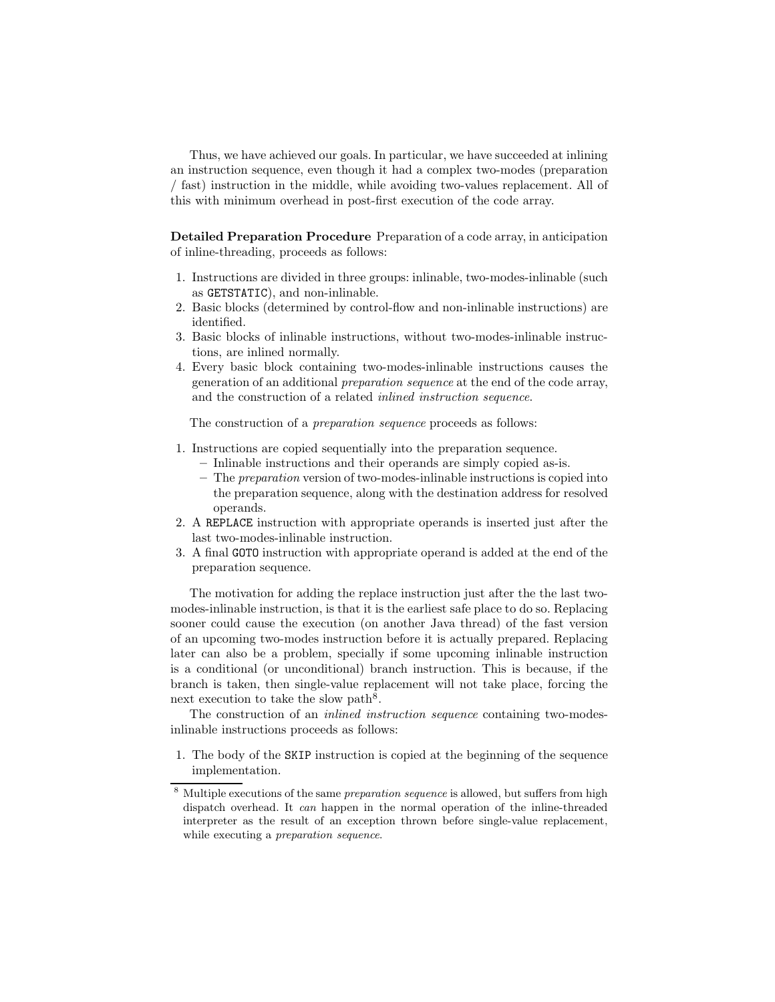Thus, we have achieved our goals. In particular, we have succeeded at inlining an instruction sequence, even though it had a complex two-modes (preparation / fast) instruction in the middle, while avoiding two-values replacement. All of this with minimum overhead in post-first execution of the code array.

Detailed Preparation Procedure Preparation of a code array, in anticipation of inline-threading, proceeds as follows:

- 1. Instructions are divided in three groups: inlinable, two-modes-inlinable (such as GETSTATIC), and non-inlinable.
- 2. Basic blocks (determined by control-flow and non-inlinable instructions) are identified.
- 3. Basic blocks of inlinable instructions, without two-modes-inlinable instructions, are inlined normally.
- 4. Every basic block containing two-modes-inlinable instructions causes the generation of an additional preparation sequence at the end of the code array, and the construction of a related inlined instruction sequence.

The construction of a preparation sequence proceeds as follows:

- 1. Instructions are copied sequentially into the preparation sequence.
	- Inlinable instructions and their operands are simply copied as-is.
	- The preparation version of two-modes-inlinable instructions is copied into the preparation sequence, along with the destination address for resolved operands.
- 2. A REPLACE instruction with appropriate operands is inserted just after the last two-modes-inlinable instruction.
- 3. A final GOTO instruction with appropriate operand is added at the end of the preparation sequence.

The motivation for adding the replace instruction just after the the last twomodes-inlinable instruction, is that it is the earliest safe place to do so. Replacing sooner could cause the execution (on another Java thread) of the fast version of an upcoming two-modes instruction before it is actually prepared. Replacing later can also be a problem, specially if some upcoming inlinable instruction is a conditional (or unconditional) branch instruction. This is because, if the branch is taken, then single-value replacement will not take place, forcing the next execution to take the slow path<sup>8</sup>.

The construction of an *inlined instruction sequence* containing two-modesinlinable instructions proceeds as follows:

1. The body of the SKIP instruction is copied at the beginning of the sequence implementation.

<sup>&</sup>lt;sup>8</sup> Multiple executions of the same *preparation sequence* is allowed, but suffers from high dispatch overhead. It can happen in the normal operation of the inline-threaded interpreter as the result of an exception thrown before single-value replacement, while executing a preparation sequence.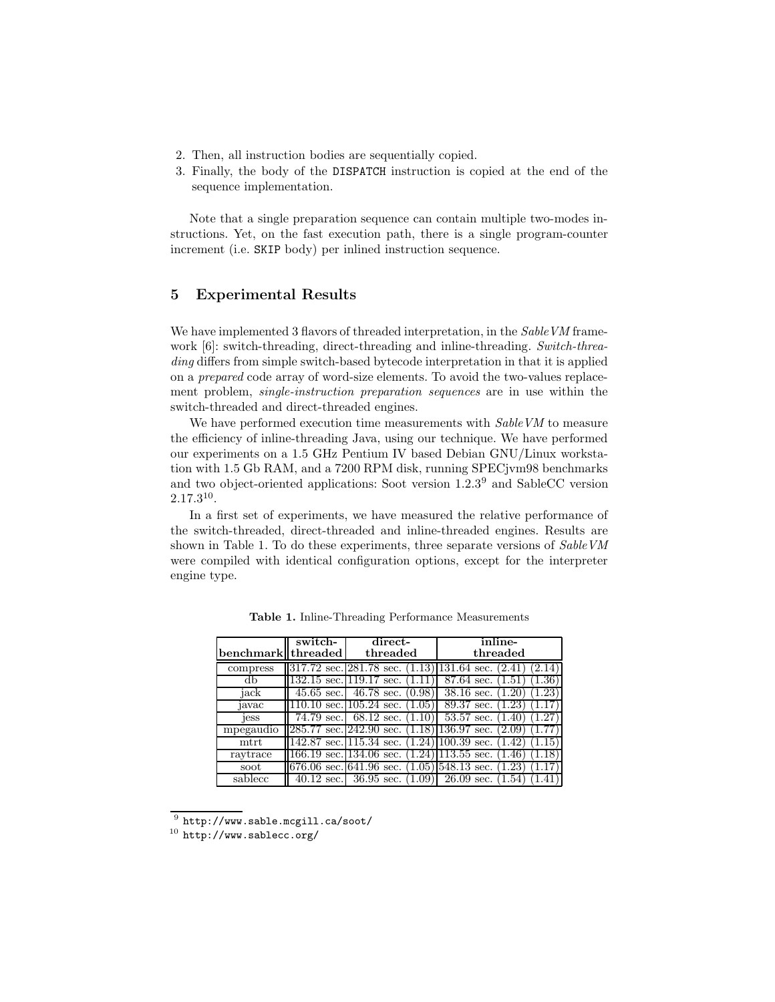- 2. Then, all instruction bodies are sequentially copied.
- 3. Finally, the body of the DISPATCH instruction is copied at the end of the sequence implementation.

Note that a single preparation sequence can contain multiple two-modes instructions. Yet, on the fast execution path, there is a single program-counter increment (i.e. SKIP body) per inlined instruction sequence.

## 5 Experimental Results

We have implemented 3 flavors of threaded interpretation, in the Sable VM framework [6]: switch-threading, direct-threading and inline-threading. Switch-threading differs from simple switch-based bytecode interpretation in that it is applied on a prepared code array of word-size elements. To avoid the two-values replacement problem, single-instruction preparation sequences are in use within the switch-threaded and direct-threaded engines.

We have performed execution time measurements with  $SableVM$  to measure the efficiency of inline-threading Java, using our technique. We have performed our experiments on a 1.5 GHz Pentium IV based Debian GNU/Linux workstation with 1.5 Gb RAM, and a 7200 RPM disk, running SPECjvm98 benchmarks and two object-oriented applications: Soot version 1.2.3<sup>9</sup> and SableCC version 2.17.3<sup>10</sup> .

In a first set of experiments, we have measured the relative performance of the switch-threaded, direct-threaded and inline-threaded engines. Results are shown in Table 1. To do these experiments, three separate versions of SableVM were compiled with identical configuration options, except for the interpreter engine type.

| benchmark threaded | switch-                     | direct-<br>threaded                                      | inline-<br>threaded                           |  |
|--------------------|-----------------------------|----------------------------------------------------------|-----------------------------------------------|--|
| compress           |                             | $\parallel$ 317.72 sec. 281.78 sec. $(1.13)$ 131.64 sec. | 2.14<br>(2.41)                                |  |
| db                 | $132.15$ sec. $119.17$ sec. | (1.11)                                                   | $1.36^{\circ}$<br>87.64 sec.<br>1.51          |  |
| jack               |                             | 45.65 sec. $46.78$ sec.                                  | $(0.98)$ 38.16 sec.<br>$1.23\,$<br>1.20       |  |
| javac              |                             | $110.10$ sec. $105.24$ sec.<br>(1.05)                    | 89.37 sec.<br>$1.23^{\circ}$                  |  |
| jess               |                             | $74.79$ sec. 68.12 sec.<br>(1.10)                        | $53.57$ sec.<br>$1.27\,$<br>1.40              |  |
| mpegaudio          |                             | $\parallel$ 285.77 sec. $\parallel$ 242.90 sec.          | $(1.18)$  136.97 sec.<br>$\left( 2.09\right)$ |  |
| mtrt               |                             | 142.87 sec. 115.34 sec.                                  | $(1.24)$  100.39 sec.<br>1.15<br>1.42         |  |
| raytrace           | $166.19$ sec. $134.06$ sec. |                                                          | $(1.24)$  113.55 sec.<br>1.18<br>(1.46)       |  |
| soot               |                             | [676.06 sec. 641.96 sec.                                 | $(1.05)$ 548.13 sec.<br>1.23<br>1.17          |  |
| sablecc            |                             | 40.12 sec. $36.95$ sec.<br>(1.09)                        | $26.09 \text{ sec.}$<br>(1.54)                |  |

Table 1. Inline-Threading Performance Measurements

 $^9$  http://www.sable.mcgill.ca/soot/

 $^{10}$ http://www.sablecc.org/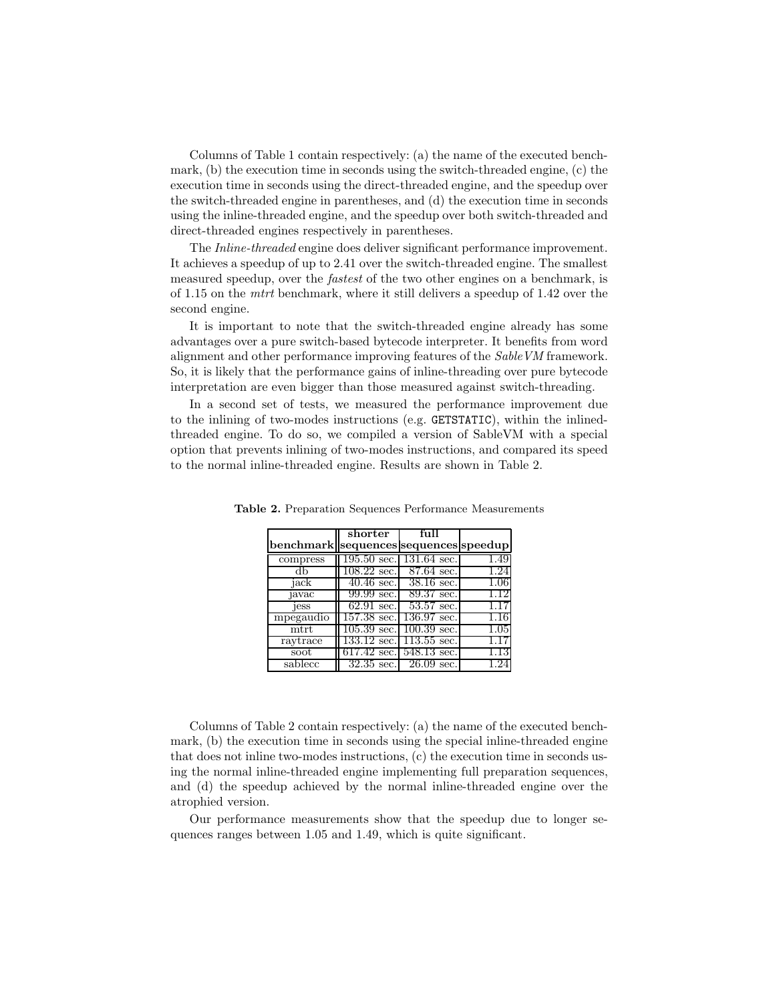Columns of Table 1 contain respectively: (a) the name of the executed benchmark, (b) the execution time in seconds using the switch-threaded engine, (c) the execution time in seconds using the direct-threaded engine, and the speedup over the switch-threaded engine in parentheses, and (d) the execution time in seconds using the inline-threaded engine, and the speedup over both switch-threaded and direct-threaded engines respectively in parentheses.

The *Inline-threaded* engine does deliver significant performance improvement. It achieves a speedup of up to 2.41 over the switch-threaded engine. The smallest measured speedup, over the fastest of the two other engines on a benchmark, is of 1.15 on the mtrt benchmark, where it still delivers a speedup of 1.42 over the second engine.

It is important to note that the switch-threaded engine already has some advantages over a pure switch-based bytecode interpreter. It benefits from word alignment and other performance improving features of the SableVM framework. So, it is likely that the performance gains of inline-threading over pure bytecode interpretation are even bigger than those measured against switch-threading.

In a second set of tests, we measured the performance improvement due to the inlining of two-modes instructions (e.g. GETSTATIC), within the inlinedthreaded engine. To do so, we compiled a version of SableVM with a special option that prevents inlining of two-modes instructions, and compared its speed to the normal inline-threaded engine. Results are shown in Table 2.

|           | shorter                     | ful                         |          |
|-----------|-----------------------------|-----------------------------|----------|
| benchmark | sequences sequences speedup |                             |          |
| compress  |                             | $195.50$ sec. 131.64 sec.   | 1.49     |
|           | $108.22$ sec.               | 87.64 sec.                  | 1.24     |
| jack      | $40.46$ sec.                | $38.16$ sec.                | 1.06     |
| javac     | 99.99 sec.                  | 89.37 sec.                  | 1.12     |
| jess      | $62.91 \text{ sec.}$        | 53.57 sec.                  |          |
| mpegaudio | 157.38 sec.                 | 136.97 sec.                 | 1.16     |
| $m$ trt   | $105.39 \text{ sec.}$       | $100.39 \text{ sec.}$       | $1.05\,$ |
| raytrace  | $133.12 \text{ sec.}$       | $113.55$ sec.               |          |
| soot      |                             | $617.42$ sec. $548.13$ sec. | 1.13     |
| sablecc   | $32.35 \text{ sec.}$        | $26.09$ sec.                |          |

Table 2. Preparation Sequences Performance Measurements

Columns of Table 2 contain respectively: (a) the name of the executed benchmark, (b) the execution time in seconds using the special inline-threaded engine that does not inline two-modes instructions, (c) the execution time in seconds using the normal inline-threaded engine implementing full preparation sequences, and (d) the speedup achieved by the normal inline-threaded engine over the atrophied version.

Our performance measurements show that the speedup due to longer sequences ranges between 1.05 and 1.49, which is quite significant.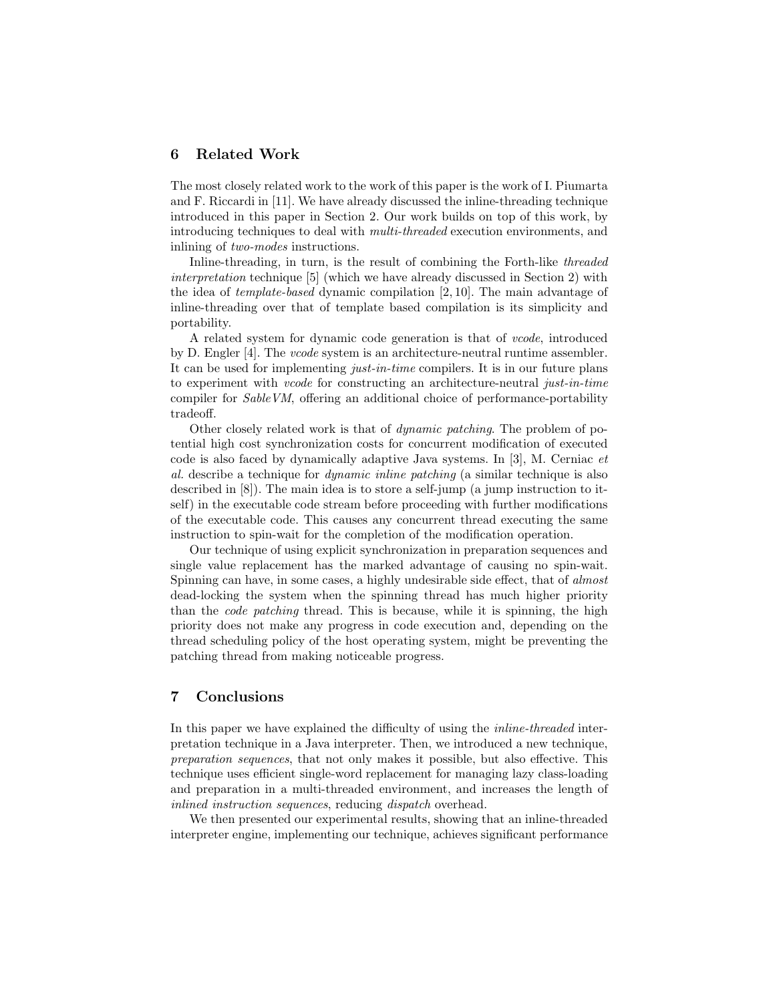#### 6 Related Work

The most closely related work to the work of this paper is the work of I. Piumarta and F. Riccardi in [11]. We have already discussed the inline-threading technique introduced in this paper in Section 2. Our work builds on top of this work, by introducing techniques to deal with multi-threaded execution environments, and inlining of two-modes instructions.

Inline-threading, in turn, is the result of combining the Forth-like threaded interpretation technique [5] (which we have already discussed in Section 2) with the idea of template-based dynamic compilation [2, 10]. The main advantage of inline-threading over that of template based compilation is its simplicity and portability.

A related system for dynamic code generation is that of vcode, introduced by D. Engler [4]. The vcode system is an architecture-neutral runtime assembler. It can be used for implementing just-in-time compilers. It is in our future plans to experiment with vcode for constructing an architecture-neutral just-in-time compiler for SableVM, offering an additional choice of performance-portability tradeoff.

Other closely related work is that of dynamic patching. The problem of potential high cost synchronization costs for concurrent modification of executed code is also faced by dynamically adaptive Java systems. In [3], M. Cerniac et al. describe a technique for dynamic inline patching (a similar technique is also described in [8]). The main idea is to store a self-jump (a jump instruction to itself) in the executable code stream before proceeding with further modifications of the executable code. This causes any concurrent thread executing the same instruction to spin-wait for the completion of the modification operation.

Our technique of using explicit synchronization in preparation sequences and single value replacement has the marked advantage of causing no spin-wait. Spinning can have, in some cases, a highly undesirable side effect, that of almost dead-locking the system when the spinning thread has much higher priority than the code patching thread. This is because, while it is spinning, the high priority does not make any progress in code execution and, depending on the thread scheduling policy of the host operating system, might be preventing the patching thread from making noticeable progress.

# 7 Conclusions

In this paper we have explained the difficulty of using the inline-threaded interpretation technique in a Java interpreter. Then, we introduced a new technique, preparation sequences, that not only makes it possible, but also effective. This technique uses efficient single-word replacement for managing lazy class-loading and preparation in a multi-threaded environment, and increases the length of inlined instruction sequences, reducing dispatch overhead.

We then presented our experimental results, showing that an inline-threaded interpreter engine, implementing our technique, achieves significant performance